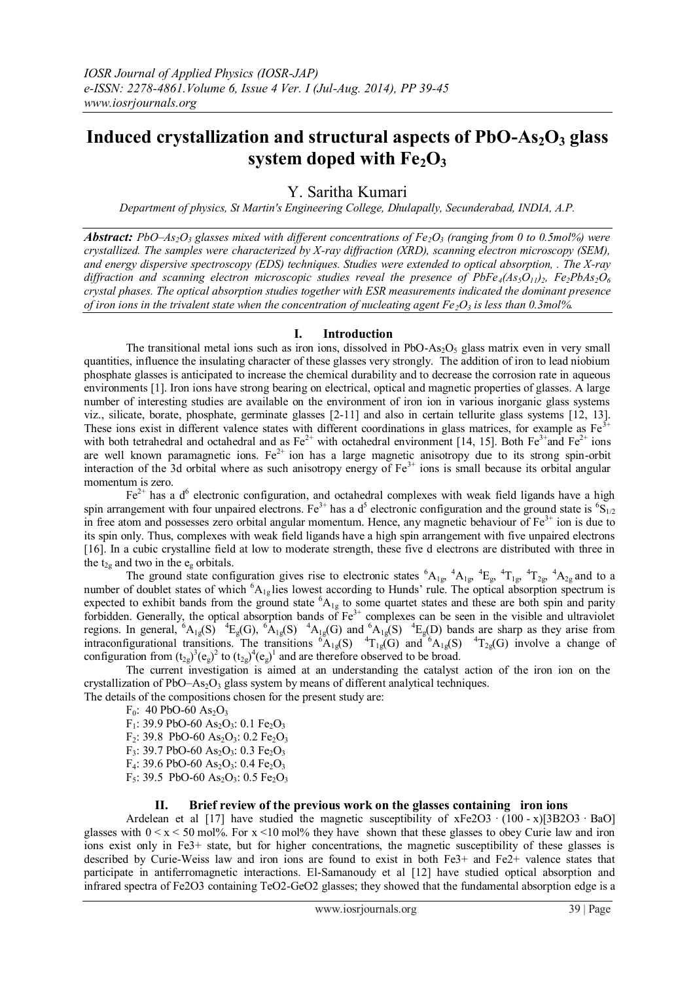# **Induced crystallization and structural aspects of PbO-As2O<sup>3</sup> glass system doped with**  $Fe<sub>2</sub>O<sub>3</sub>$

Y. Saritha Kumari

*Department of physics, St Martin's Engineering College, Dhulapally, Secunderabad, INDIA, A.P.*

*Abstract: PbO–As2O<sup>3</sup> glasses mixed with different concentrations of Fe2O<sup>3</sup> (ranging from 0 to 0.5mol%) were crystallized. The samples were characterized by X-ray diffraction (XRD), scanning electron microscopy (SEM), and energy dispersive spectroscopy (EDS) techniques. Studies were extended to optical absorption, . The X-ray*  diffraction and scanning electron microscopic studies reveal the presence of PbFe<sub>4</sub>(As<sub>5</sub>O<sub>11</sub>), Fe<sub>2</sub>PbAs<sub>2</sub>O<sub>6</sub> *crystal phases. The optical absorption studies together with ESR measurements indicated the dominant presence of iron ions in the trivalent state when the concentration of nucleating agent*  $Fe<sub>2</sub>O<sub>3</sub>$  *is less than 0.3mol%.* 

## **I. Introduction**

The transitional metal ions such as iron ions, dissolved in PbO-As<sub>2</sub>O<sub>5</sub> glass matrix even in very small quantities, influence the insulating character of these glasses very strongly. The addition of iron to lead niobium phosphate glasses is anticipated to increase the chemical durability and to decrease the corrosion rate in aqueous environments [1]. Iron ions have strong bearing on electrical, optical and magnetic properties of glasses. A large number of interesting studies are available on the environment of iron ion in various inorganic glass systems viz., silicate, borate, phosphate, germinate glasses [2-11] and also in certain tellurite glass systems [12, 13]. These ions exist in different valence states with different coordinations in glass matrices, for example as  $Fe<sup>3+</sup>$ with both tetrahedral and octahedral and as  $Fe^{2+}$  with octahedral environment [14, 15]. Both  $Fe^{3+}$  and  $Fe^{2+}$  ions are well known paramagnetic ions.  $Fe^{2+}$  ion has a large magnetic anisotropy due to its strong spin-orbit interaction of the 3d orbital where as such anisotropy energy of  $Fe<sup>3+</sup>$  ions is small because its orbital angular momentum is zero.

 $Fe<sup>2+</sup>$  has a d<sup>6</sup> electronic configuration, and octahedral complexes with weak field ligands have a high spin arrangement with four unpaired electrons. Fe<sup>3+</sup> has a d<sup>5</sup> electronic configuration and the ground state is  ${}^{6}S_{1/2}$ in free atom and possesses zero orbital angular momentum. Hence, any magnetic behaviour of  $Fe<sup>3+</sup>$  ion is due to its spin only. Thus, complexes with weak field ligands have a high spin arrangement with five unpaired electrons [16]. In a cubic crystalline field at low to moderate strength, these five d electrons are distributed with three in the  $t_{2g}$  and two in the  $e_g$  orbitals.

The ground state configuration gives rise to electronic states  ${}^{6}A_{1g}$ ,  ${}^{4}A_{1g}$ ,  ${}^{4}E_{g}$ ,  ${}^{4}T_{1g}$ ,  ${}^{4}T_{2g}$ ,  ${}^{4}A_{2g}$  and to a number of doublet states of which <sup>6</sup>A<sub>1g</sub> lies lowest according to Hunds' rule. The optical absorption spectrum is expected to exhibit bands from the ground state  ${}^{6}A_{1g}$  to some quartet states and these are both spin and parity forbidden. Generally, the optical absorption bands of  $Fe<sup>3+</sup>$  complexes can be seen in the visible and ultraviolet regions. In general,  ${}^{6}A_{1g}(S)$   ${}^{4}E_{g}(G)$ ,  ${}^{6}A_{1g}(S)$   ${}^{4}A_{1g}(G)$  and  ${}^{6}A_{1g}(S)$   ${}^{4}E_{g}(D)$  bands are sharp as they arise from intraconfigurational transitions. The transitions  ${}^6A_{1g}(S)$   ${}^4T_{1g}(G)$  and  ${}^6A_{1g}(S)$   ${}^4T_{2g}(G)$  involve a change of configuration from  $(t_{2g})^3 (e_g)^2$  to  $(t_{2g})^4 (e_g)^1$  and are therefore observed to be broad.

The current investigation is aimed at an understanding the catalyst action of the iron ion on the crystallization of PbO–As<sub>2</sub>O<sub>3</sub> glass system by means of different analytical techniques. The details of the compositions chosen for the present study are:

 $F_0$ : 40 PbO-60 As<sub>2</sub>O<sub>3</sub>  $F_1$ : 39.9 PbO-60 As<sub>2</sub>O<sub>3</sub>: 0.1 Fe<sub>2</sub>O<sub>3</sub>  $F_2$ : 39.8 PbO-60 As<sub>2</sub>O<sub>3</sub>: 0.2 Fe<sub>2</sub>O<sub>3</sub>  $F_3$ : 39.7 PbO-60 As<sub>2</sub>O<sub>3</sub>: 0.3 Fe<sub>2</sub>O<sub>3</sub>  $F_4$ : 39.6 PbO-60 As<sub>2</sub>O<sub>3</sub>: 0.4 Fe<sub>2</sub>O<sub>3</sub>  $F_5$ : 39.5 PbO-60 As<sub>2</sub>O<sub>3</sub>: 0.5 Fe<sub>2</sub>O<sub>3</sub>

## **II. Brief review of the previous work on the glasses containing iron ions**

Ardelean et al [17] have studied the magnetic susceptibility of  $xFe2O3 \cdot (100 - x)[3B2O3 \cdot BaO]$ glasses with  $0 \le x \le 50$  mol%. For  $x \le 10$  mol% they have shown that these glasses to obey Curie law and iron ions exist only in Fe3+ state, but for higher concentrations, the magnetic susceptibility of these glasses is described by Curie-Weiss law and iron ions are found to exist in both Fe3+ and Fe2+ valence states that participate in antiferromagnetic interactions. El-Samanoudy et al [12] have studied optical absorption and infrared spectra of Fe2O3 containing TeO2-GeO2 glasses; they showed that the fundamental absorption edge is a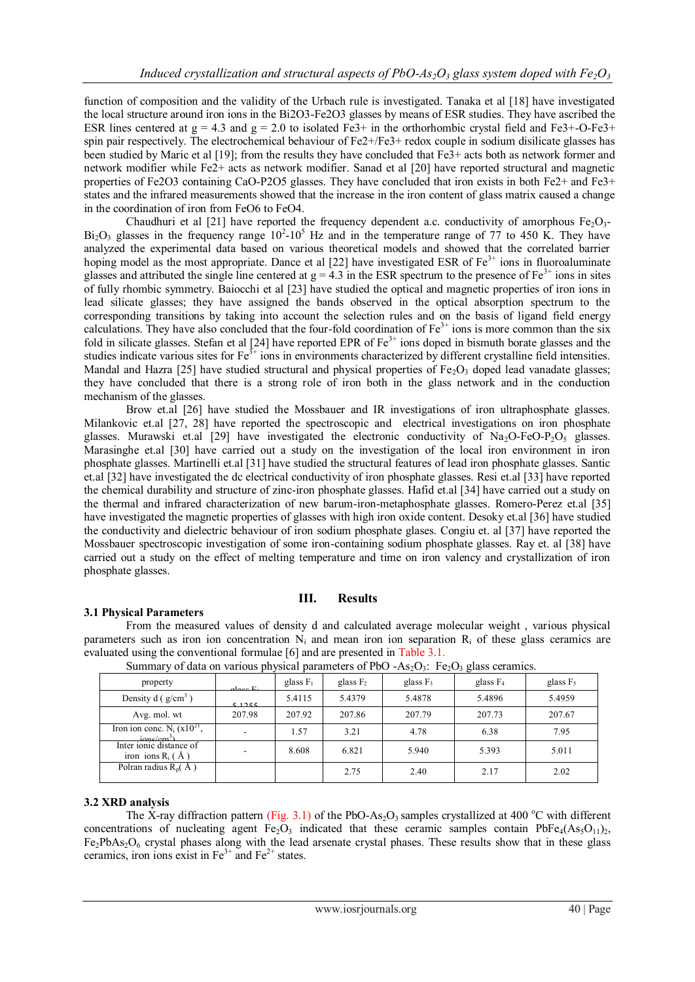function of composition and the validity of the Urbach rule is investigated. Tanaka et al [18] have investigated the local structure around iron ions in the Bi2O3-Fe2O3 glasses by means of ESR studies. They have ascribed the ESR lines centered at  $g = 4.3$  and  $g = 2.0$  to isolated Fe3+ in the orthorhombic crystal field and Fe3+-O-Fe3+ spin pair respectively. The electrochemical behaviour of Fe2+/Fe3+ redox couple in sodium disilicate glasses has been studied by Maric et al [19]; from the results they have concluded that Fe3+ acts both as network former and network modifier while Fe2+ acts as network modifier. Sanad et al [20] have reported structural and magnetic properties of Fe2O3 containing CaO-P2O5 glasses. They have concluded that iron exists in both Fe2+ and Fe3+ states and the infrared measurements showed that the increase in the iron content of glass matrix caused a change in the coordination of iron from FeO6 to FeO4.

Chaudhuri et al [21] have reported the frequency dependent a.c. conductivity of amorphous  $Fe<sub>2</sub>O<sub>3</sub>$ - $Bi<sub>2</sub>O<sub>3</sub>$  glasses in the frequency range  $10<sup>2</sup>$ -10<sup>5</sup> Hz and in the temperature range of 77 to 450 K. They have analyzed the experimental data based on various theoretical models and showed that the correlated barrier hoping model as the most appropriate. Dance et al  $[22]$  have investigated ESR of  $Fe<sup>3+</sup>$  ions in fluoroaluminate glasses and attributed the single line centered at  $g = 4.3$  in the ESR spectrum to the presence of  $Fe^{3+}$  ions in sites of fully rhombic symmetry. Baiocchi et al [23] have studied the optical and magnetic properties of iron ions in lead silicate glasses; they have assigned the bands observed in the optical absorption spectrum to the corresponding transitions by taking into account the selection rules and on the basis of ligand field energy calculations. They have also concluded that the four-fold coordination of  $Fe<sup>3+</sup>$  ions is more common than the six fold in silicate glasses. Stefan et al [24] have reported EPR of  $Fe<sup>3+</sup>$  ions doped in bismuth borate glasses and the studies indicate various sites for  $Fe<sup>3+</sup>$  ions in environments characterized by different crystalline field intensities. Mandal and Hazra [25] have studied structural and physical properties of  $Fe<sub>2</sub>O<sub>3</sub>$  doped lead vanadate glasses; they have concluded that there is a strong role of iron both in the glass network and in the conduction mechanism of the glasses.

Brow et.al [26] have studied the Mossbauer and IR investigations of iron ultraphosphate glasses. Milankovic et.al [27, 28] have reported the spectroscopic and electrical investigations on iron phosphate glasses. Murawski et.al [29] have investigated the electronic conductivity of  $Na_2O-FeO-P_2O<sub>5</sub>$  glasses. Marasinghe et.al [30] have carried out a study on the investigation of the local iron environment in iron phosphate glasses. Martinelli et.al [31] have studied the structural features of lead iron phosphate glasses. Santic et.al [32] have investigated the dc electrical conductivity of iron phosphate glasses. Resi et.al [33] have reported the chemical durability and structure of zinc-iron phosphate glasses. Hafid et.al [34] have carried out a study on the thermal and infrared characterization of new barum-iron-metaphosphate glasses. Romero-Perez et.al [35] have investigated the magnetic properties of glasses with high iron oxide content. Desoky et.al [36] have studied the conductivity and dielectric behaviour of iron sodium phosphate glases. Congiu et. al [37] have reported the Mossbauer spectroscopic investigation of some iron-containing sodium phosphate glasses. Ray et. al [38] have carried out a study on the effect of melting temperature and time on iron valency and crystallization of iron phosphate glasses.

## **III. Results**

## **3.1 Physical Parameters**

From the measured values of density d and calculated average molecular weight , various physical parameters such as iron ion concentration  $N_i$  and mean iron ion separation  $R_i$  of these glass ceramics are evaluated using the conventional formulae [6] and are presented in Table 3.1.

| property                                           | $\alpha$ logg $\Gamma$ . | glass $F_1$ | glass $F2$ | glass $F_3$ | glass $F_4$ | glass $F_5$ |
|----------------------------------------------------|--------------------------|-------------|------------|-------------|-------------|-------------|
| Density $d (g/cm3)$                                | 51255                    | 5.4115      | 5.4379     | 5.4878      | 5.4896      | 5.4959      |
| Avg. mol. wt                                       | 207.98                   | 207.92      | 207.86     | 207.79      | 207.73      | 207.67      |
| Iron ion conc. $N_i$ ( $x10^{21}$ ,<br>$inne/cm^3$ |                          | 1.57        | 3.21       | 4.78        | 6.38        | 7.95        |
| Inter ionic distance of<br>iron ions $R_i(A)$      |                          | 8.608       | 6.821      | 5.940       | 5.393       | 5.011       |
| Polran radius $R_p(A)$                             |                          |             | 2.75       | 2.40        | 2.17        | 2.02        |

|  | the contract of the contract of the contract of the contract of the contract of the contract of the contract of |  |                                                                                                                                        |  |
|--|-----------------------------------------------------------------------------------------------------------------|--|----------------------------------------------------------------------------------------------------------------------------------------|--|
|  |                                                                                                                 |  | Summary of data on various physical parameters of PbO -As <sub>2</sub> O <sub>3</sub> : Fe <sub>2</sub> O <sub>3</sub> glass ceramics. |  |

#### **3.2 XRD analysis**

The X-ray diffraction pattern (Fig. 3.1) of the PbO-As<sub>2</sub>O<sub>3</sub> samples crystallized at 400  $^{\circ}$ C with different concentrations of nucleating agent Fe<sub>2</sub>O<sub>3</sub> indicated that these ceramic samples contain PbFe<sub>4</sub>(As<sub>5</sub>O<sub>11)2</sub>,  $Fe<sub>2</sub>PbAs<sub>2</sub>O<sub>6</sub>$  crystal phases along with the lead arsenate crystal phases. These results show that in these glass ceramics, iron ions exist in  $Fe<sup>3+</sup>$  and  $Fe<sup>2+</sup>$  states.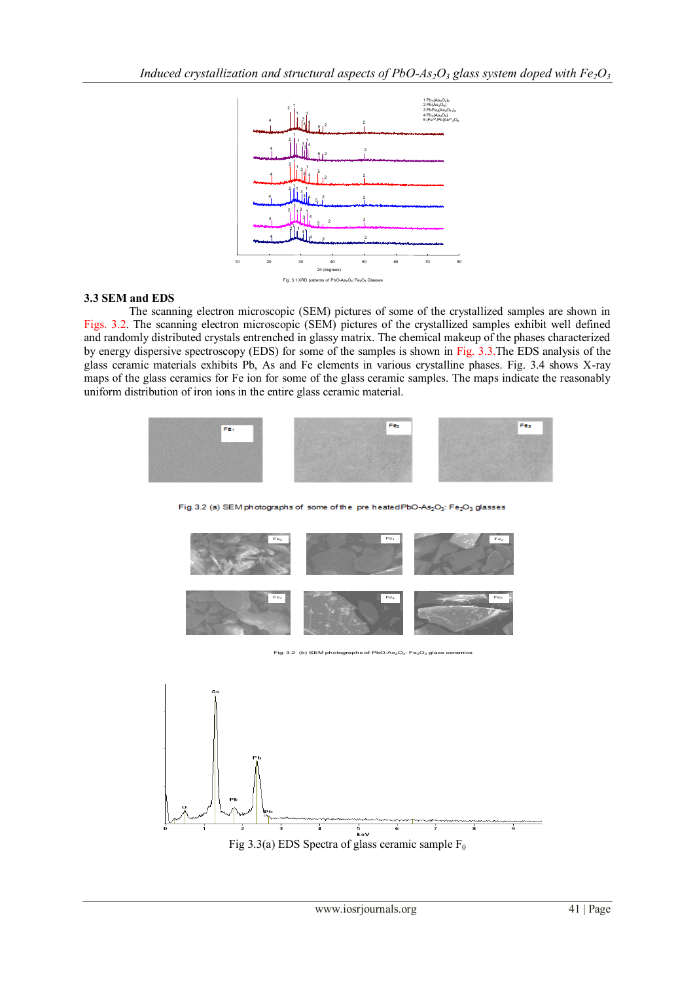

#### **3.3 SEM and EDS**

The scanning electron microscopic (SEM) pictures of some of the crystallized samples are shown in Figs. 3.2. The scanning electron microscopic (SEM) pictures of the crystallized samples exhibit well defined and randomly distributed crystals entrenched in glassy matrix. The chemical makeup of the phases characterized by energy dispersive spectroscopy (EDS) for some of the samples is shown in Fig. 3.3.The EDS analysis of the glass ceramic materials exhibits Pb, As and Fe elements in various crystalline phases. Fig. 3.4 shows X-ray maps of the glass ceramics for Fe ion for some of the glass ceramic samples. The maps indicate the reasonably uniform distribution of iron ions in the entire glass ceramic material.



Fig. 3.2 (a) SEM photographs of some of the pre heated PbO-As<sub>2</sub>O<sub>3</sub>: Fe<sub>2</sub>O<sub>3</sub> glasses



Fig. 3.2 (b) SEM photographs of PbO-As<sub>2</sub>O<sub>3</sub>: Fe<sub>2</sub>O<sub>3</sub> glass ceramics

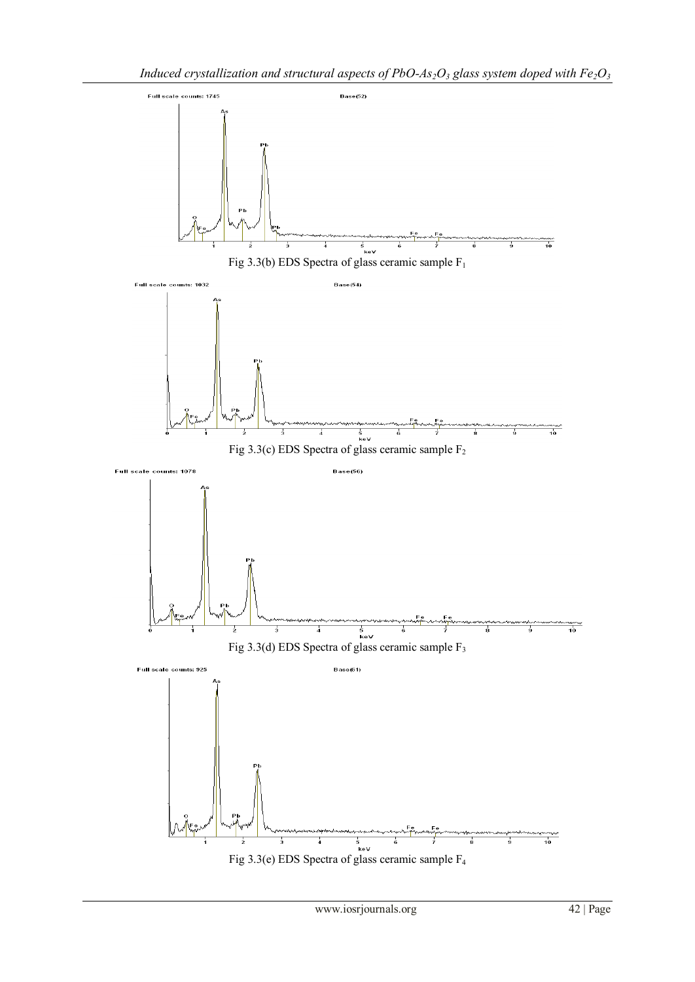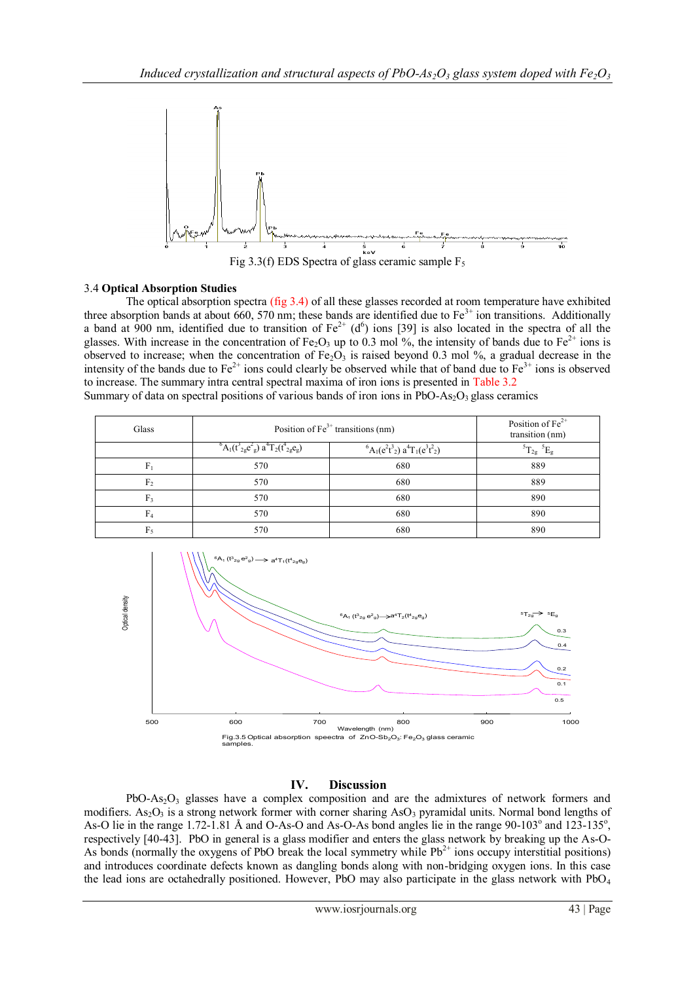

## 3.4 **Optical Absorption Studies**

The optical absorption spectra (fig 3.4) of all these glasses recorded at room temperature have exhibited three absorption bands at about 660, 570 nm; these bands are identified due to  $Fe<sup>3+</sup>$  ion transitions. Additionally a band at 900 nm, identified due to transition of  $Fe^{2+}$  (d<sup>6</sup>) ions [39] is also located in the spectra of all the glasses. With increase in the concentration of Fe<sub>2</sub>O<sub>3</sub> up to 0.3 mol %, the intensity of bands due to Fe<sup>2+</sup> ions is observed to increase; when the concentration of  $Fe<sub>2</sub>O<sub>3</sub>$  is raised beyond 0.3 mol %, a gradual decrease in the intensity of the bands due to  $Fe^{2+}$  ions could clearly be observed while that of band due to  $Fe^{3+}$  ions is observed to increase. The summary intra central spectral maxima of iron ions is presented in Table 3.2 Summary of data on spectral positions of various bands of iron ions in PbO-As<sub>2</sub>O<sub>3</sub> glass ceramics

| Glass          | Position of $Fe3+$ transitions (nm)                    | Position of $Fe2+$<br>transition (nm)                    |                      |
|----------------|--------------------------------------------------------|----------------------------------------------------------|----------------------|
|                | $\sqrt[6]{A_1(t^3_{2g}e^2_{g})}$ $a^4T_2(t^4_{2g}e_g)$ | ${}^{6}A_{1}(e^{2}t^{3}_{2}) a^{4}T_{1}(e^{3}t^{2}_{2})$ | $T_{2g}$ $^{5}E_{g}$ |
| $F_1$          | 570                                                    | 680                                                      | 889                  |
| F <sub>2</sub> | 570                                                    | 680                                                      | 889                  |
| F <sub>3</sub> | 570                                                    | 680                                                      | 890                  |
| $F_4$          | 570                                                    | 680                                                      | 890                  |
| F,             | 570                                                    | 680                                                      | 890                  |



## **IV. Discussion**

PbO-As<sub>2</sub>O<sub>3</sub> glasses have a complex composition and are the admixtures of network formers and modifiers. As<sub>2</sub>O<sub>3</sub> is a strong network former with corner sharing AsO<sub>3</sub> pyramidal units. Normal bond lengths of As-O lie in the range 1.72-1.81 Å and O-As-O and As-O-As bond angles lie in the range  $90-103^\circ$  and  $123-135^\circ$ , respectively [40-43]. PbO in general is a glass modifier and enters the glass network by breaking up the As-O-As bonds (normally the oxygens of PbO break the local symmetry while  $Pb^{2+}$  ions occupy interstitial positions) and introduces coordinate defects known as dangling bonds along with non-bridging oxygen ions. In this case the lead ions are octahedrally positioned. However, PbO may also participate in the glass network with  $PbO<sub>4</sub>$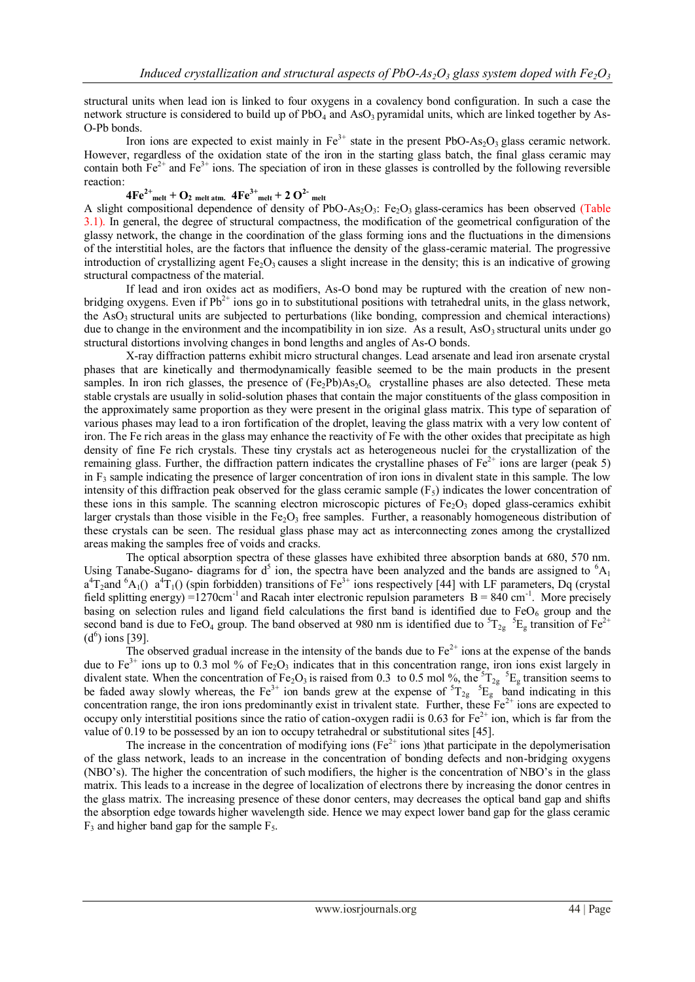structural units when lead ion is linked to four oxygens in a covalency bond configuration. In such a case the network structure is considered to build up of  $PbO_4$  and AsO<sub>3</sub> pyramidal units, which are linked together by As-O-Pb bonds.

Iron ions are expected to exist mainly in  $Fe^{3+}$  state in the present PbO-As<sub>2</sub>O<sub>3</sub> glass ceramic network. However, regardless of the oxidation state of the iron in the starting glass batch, the final glass ceramic may contain both  $Fe^{2+}$  and  $Fe^{3+}$  ions. The speciation of iron in these glasses is controlled by the following reversible reaction:

 $4Fe^{2+}$  melt  $+ O_2$  melt atm.  $4Fe^{3+}$  melt  $+ 2 O^{2-}$  melt

A slight compositional dependence of density of PbO-As<sub>2</sub>O<sub>3</sub>: Fe<sub>2</sub>O<sub>3</sub> glass-ceramics has been observed (Table 3.1). In general, the degree of structural compactness, the modification of the geometrical configuration of the glassy network, the change in the coordination of the glass forming ions and the fluctuations in the dimensions of the interstitial holes, are the factors that influence the density of the glass-ceramic material. The progressive introduction of crystallizing agent  $Fe<sub>2</sub>O<sub>3</sub>$  causes a slight increase in the density; this is an indicative of growing structural compactness of the material.

If lead and iron oxides act as modifiers, As-O bond may be ruptured with the creation of new nonbridging oxygens. Even if  $Pb^{2+}$  ions go in to substitutional positions with tetrahedral units, in the glass network, the  $\overrightarrow{ASO_3}$  structural units are subjected to perturbations (like bonding, compression and chemical interactions) due to change in the environment and the incompatibility in ion size. As a result,  $AsO<sub>3</sub>$  structural units under go structural distortions involving changes in bond lengths and angles of As-O bonds.

X-ray diffraction patterns exhibit micro structural changes. Lead arsenate and lead iron arsenate crystal phases that are kinetically and thermodynamically feasible seemed to be the main products in the present samples. In iron rich glasses, the presence of  $(Fe_2Pb)As_2O_6$  crystalline phases are also detected. These meta stable crystals are usually in solid-solution phases that contain the major constituents of the glass composition in the approximately same proportion as they were present in the original glass matrix. This type of separation of various phases may lead to a iron fortification of the droplet, leaving the glass matrix with a very low content of iron. The Fe rich areas in the glass may enhance the reactivity of Fe with the other oxides that precipitate as high density of fine Fe rich crystals. These tiny crystals act as heterogeneous nuclei for the crystallization of the remaining glass. Further, the diffraction pattern indicates the crystalline phases of  $Fe^{2+}$  ions are larger (peak 5) in  $F_3$  sample indicating the presence of larger concentration of iron ions in divalent state in this sample. The low intensity of this diffraction peak observed for the glass ceramic sample  $(F<sub>5</sub>)$  indicates the lower concentration of these ions in this sample. The scanning electron microscopic pictures of  $Fe<sub>2</sub>O<sub>3</sub>$  doped glass-ceramics exhibit larger crystals than those visible in the  $Fe<sub>2</sub>O<sub>3</sub>$  free samples. Further, a reasonably homogeneous distribution of these crystals can be seen. The residual glass phase may act as interconnecting zones among the crystallized areas making the samples free of voids and cracks.

The optical absorption spectra of these glasses have exhibited three absorption bands at 680, 570 nm. Using Tanabe-Sugano- diagrams for  $d^5$  ion, the spectra have been analyzed and the bands are assigned to  ${}^6A_1$  $a^4T_2$ and  $^6A_1()$   $a^4T_1()$  (spin forbidden) transitions of Fe<sup>3+</sup> ions respectively [44] with LF parameters, Dq (crystal field splitting energy) =  $1270 \text{cm}^{-1}$  and Racah inter electronic repulsion parameters B = 840 cm<sup>-1</sup>. More precisely basing on selection rules and ligand field calculations the first band is identified due to  $FeO<sub>6</sub>$  group and the second band is due to FeO<sub>4</sub> group. The band observed at 980 nm is identified due to  ${}^{5}T_{2g} {}^{5}E_g$  transition of Fe<sup>2+</sup>  $(d<sup>6</sup>)$  ions [39].

The observed gradual increase in the intensity of the bands due to  $Fe^{2+}$  ions at the expense of the bands due to  $Fe^{3+}$  ions up to 0.3 mol % of  $Fe_2O_3$  indicates that in this concentration range, iron ions exist largely in divalent state. When the concentration of Fe<sub>2</sub>O<sub>3</sub> is raised from 0.3 to 0.5 mol %, the <sup>5</sup>T<sub>2g</sub> <sup>5</sup>E<sub>g</sub> transition seems to be faded away slowly whereas, the Fe<sup>3+</sup> ion bands grew at the expense of  ${}^{5}T_{2g}$   ${}^{5}E_{g}$  band indicating in this concentration range, the iron ions predominantly exist in trivalent state. Further, these  $Fe<sup>2+</sup>$  ions are expected to occupy only interstitial positions since the ratio of cation-oxygen radii is 0.63 for  $Fe^{2+}$  ion, which is far from the value of 0.19 to be possessed by an ion to occupy tetrahedral or substitutional sites [45].

The increase in the concentration of modifying ions ( $Fe<sup>2+</sup>$  ions) that participate in the depolymerisation of the glass network, leads to an increase in the concentration of bonding defects and non-bridging oxygens (NBO's). The higher the concentration of such modifiers, the higher is the concentration of NBO's in the glass matrix. This leads to a increase in the degree of localization of electrons there by increasing the donor centres in the glass matrix. The increasing presence of these donor centers, may decreases the optical band gap and shifts the absorption edge towards higher wavelength side. Hence we may expect lower band gap for the glass ceramic  $F_3$  and higher band gap for the sample  $F_5$ .